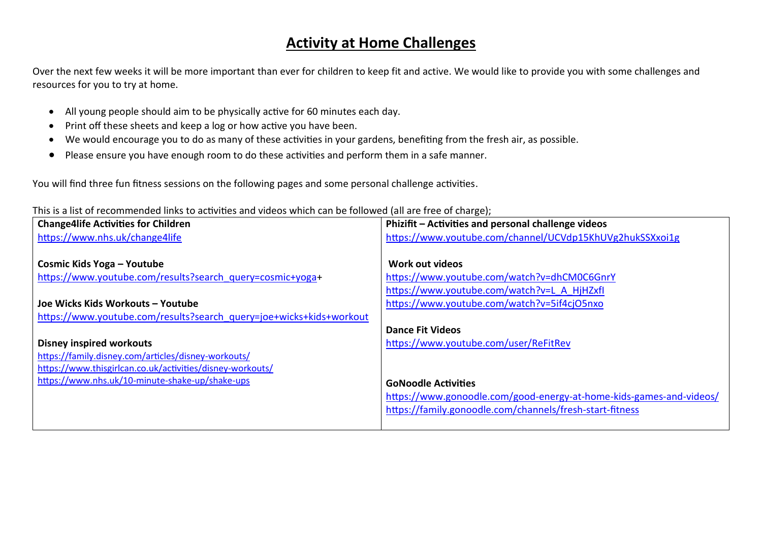## **Activity at Home Challenges**

Over the next few weeks it will be more important than ever for children to keep fit and active. We would like to provide you with some challenges and resources for you to try at home.

- All young people should aim to be physically active for 60 minutes each day.
- Print off these sheets and keep a log or how active you have been.
- We would encourage you to do as many of these activities in your gardens, benefiting from the fresh air, as possible.
- Please ensure you have enough room to do these activities and perform them in a safe manner.

You will find three fun fitness sessions on the following pages and some personal challenge activities.

This is a list of recommended links to activities and videos which can be followed (all are free of charge);

| <b>Change4life Activities for Children</b>                          | Phizifit - Activities and personal challenge videos                 |
|---------------------------------------------------------------------|---------------------------------------------------------------------|
| https://www.nhs.uk/change4life                                      | https://www.youtube.com/channel/UCVdp15KhUVg2hukSSXxoi1g            |
|                                                                     |                                                                     |
| Cosmic Kids Yoga - Youtube                                          | Work out videos                                                     |
| https://www.youtube.com/results?search_query=cosmic+yoga+           | https://www.youtube.com/watch?v=dhCM0C6GnrY                         |
|                                                                     | https://www.youtube.com/watch?v=L A HjHZxfl                         |
| Joe Wicks Kids Workouts - Youtube                                   | https://www.youtube.com/watch?v=5if4cjO5nxo                         |
| https://www.youtube.com/results?search_query=joe+wicks+kids+workout |                                                                     |
|                                                                     | <b>Dance Fit Videos</b>                                             |
| <b>Disney inspired workouts</b>                                     | https://www.youtube.com/user/ReFitRev                               |
| https://family.disney.com/articles/disney-workouts/                 |                                                                     |
| https://www.thisgirlcan.co.uk/activities/disney-workouts/           |                                                                     |
| https://www.nhs.uk/10-minute-shake-up/shake-ups                     | <b>GoNoodle Activities</b>                                          |
|                                                                     | https://www.gonoodle.com/good-energy-at-home-kids-games-and-videos/ |
|                                                                     | https://family.gonoodle.com/channels/fresh-start-fitness            |
|                                                                     |                                                                     |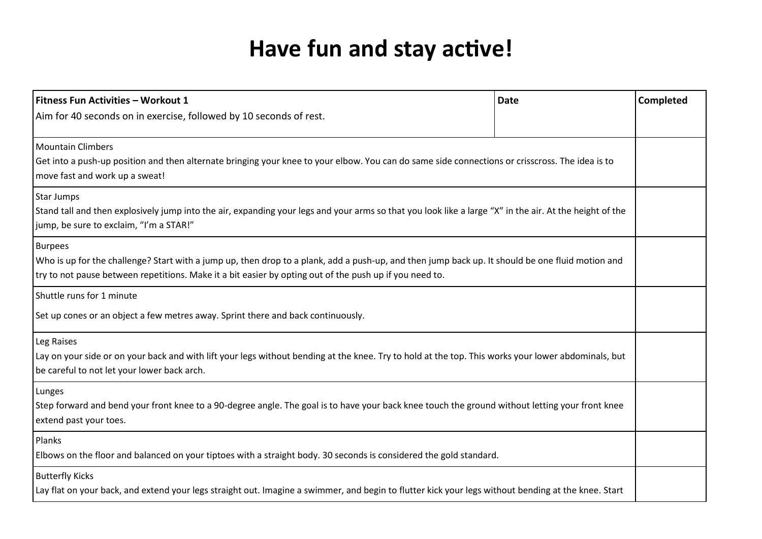## **Have fun and stay active!**

| Fitness Fun Activities - Workout 1                                                                                                                                                                                                                                            | <b>Date</b> | Completed |  |
|-------------------------------------------------------------------------------------------------------------------------------------------------------------------------------------------------------------------------------------------------------------------------------|-------------|-----------|--|
| Aim for 40 seconds on in exercise, followed by 10 seconds of rest.                                                                                                                                                                                                            |             |           |  |
| <b>Mountain Climbers</b><br>Get into a push-up position and then alternate bringing your knee to your elbow. You can do same side connections or crisscross. The idea is to<br>move fast and work up a sweat!                                                                 |             |           |  |
| Star Jumps<br>Stand tall and then explosively jump into the air, expanding your legs and your arms so that you look like a large "X" in the air. At the height of the<br>jump, be sure to exclaim, "I'm a STAR!"                                                              |             |           |  |
| <b>Burpees</b><br>Who is up for the challenge? Start with a jump up, then drop to a plank, add a push-up, and then jump back up. It should be one fluid motion and<br>try to not pause between repetitions. Make it a bit easier by opting out of the push up if you need to. |             |           |  |
| Shuttle runs for 1 minute<br>Set up cones or an object a few metres away. Sprint there and back continuously.                                                                                                                                                                 |             |           |  |
| Leg Raises<br>Lay on your side or on your back and with lift your legs without bending at the knee. Try to hold at the top. This works your lower abdominals, but<br>be careful to not let your lower back arch.                                                              |             |           |  |
| Lunges<br>Step forward and bend your front knee to a 90-degree angle. The goal is to have your back knee touch the ground without letting your front knee<br>extend past your toes.                                                                                           |             |           |  |
| Planks<br>Elbows on the floor and balanced on your tiptoes with a straight body. 30 seconds is considered the gold standard.                                                                                                                                                  |             |           |  |
| <b>Butterfly Kicks</b><br>Lay flat on your back, and extend your legs straight out. Imagine a swimmer, and begin to flutter kick your legs without bending at the knee. Start                                                                                                 |             |           |  |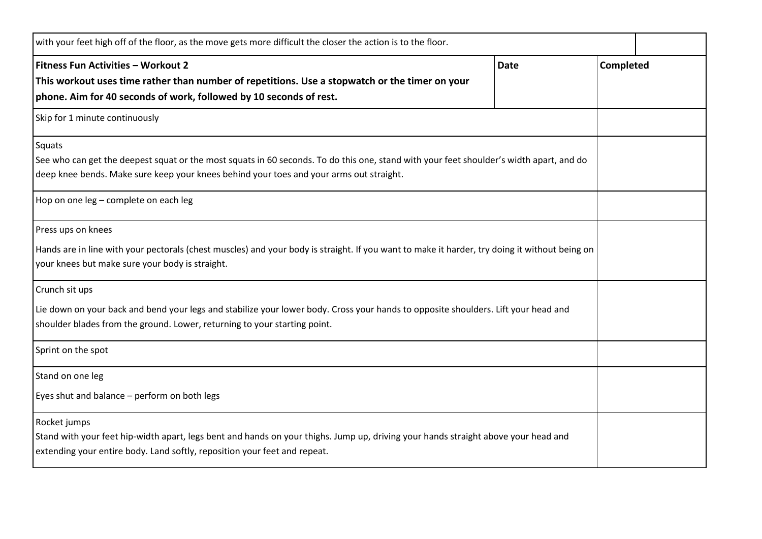| with your feet high off of the floor, as the move gets more difficult the closer the action is to the floor.                                                                                                                                 |             |           |  |
|----------------------------------------------------------------------------------------------------------------------------------------------------------------------------------------------------------------------------------------------|-------------|-----------|--|
| Fitness Fun Activities - Workout 2<br>This workout uses time rather than number of repetitions. Use a stopwatch or the timer on your<br>phone. Aim for 40 seconds of work, followed by 10 seconds of rest.                                   | <b>Date</b> | Completed |  |
| Skip for 1 minute continuously                                                                                                                                                                                                               |             |           |  |
| Squats<br>See who can get the deepest squat or the most squats in 60 seconds. To do this one, stand with your feet shoulder's width apart, and do<br>deep knee bends. Make sure keep your knees behind your toes and your arms out straight. |             |           |  |
| Hop on one leg - complete on each leg                                                                                                                                                                                                        |             |           |  |
| Press ups on knees<br>Hands are in line with your pectorals (chest muscles) and your body is straight. If you want to make it harder, try doing it without being on<br>your knees but make sure your body is straight.                       |             |           |  |
| Crunch sit ups<br>Lie down on your back and bend your legs and stabilize your lower body. Cross your hands to opposite shoulders. Lift your head and<br>shoulder blades from the ground. Lower, returning to your starting point.            |             |           |  |
| Sprint on the spot                                                                                                                                                                                                                           |             |           |  |
| Stand on one leg<br>Eyes shut and balance - perform on both legs                                                                                                                                                                             |             |           |  |
| Rocket jumps<br>Stand with your feet hip-width apart, legs bent and hands on your thighs. Jump up, driving your hands straight above your head and<br>extending your entire body. Land softly, reposition your feet and repeat.              |             |           |  |